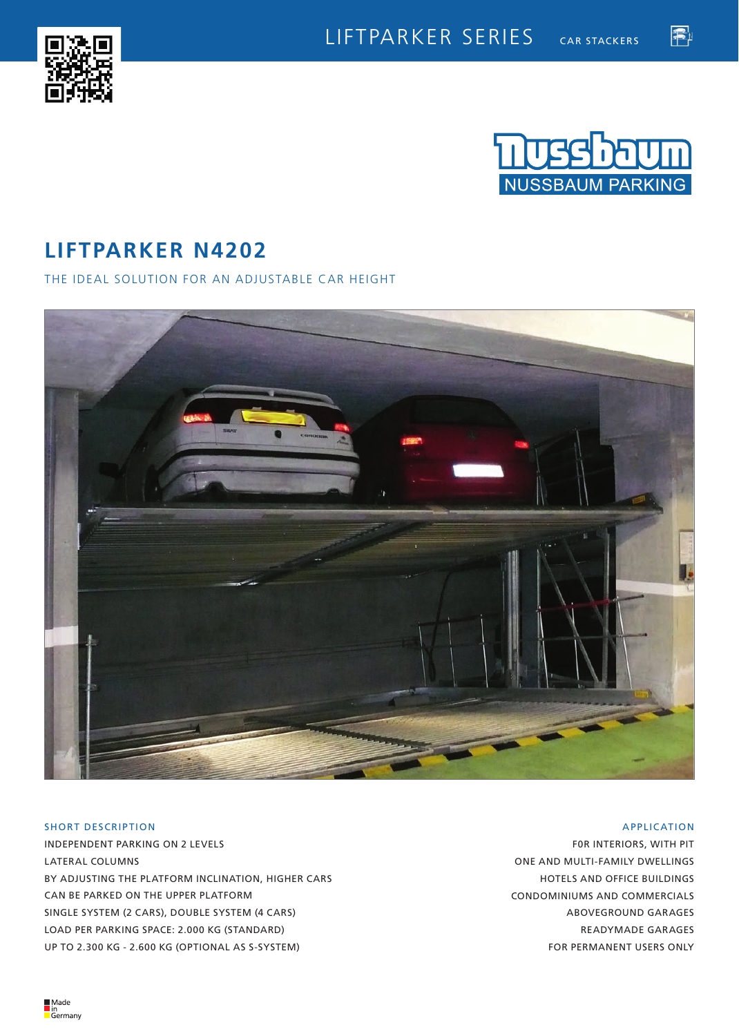



霍

# **LIFTPARKER N4202**

THE IDEAL SOLUTION FOR AN ADJUSTABLE CAR HEIGHT



## SHORT DESCRIPTION

INDEPENDENT PARKING ON 2 LEVELS LATERAL COLUMNS BY ADJUSTING THE PLATFORM INCLINATION, HIGHER CARS CAN BE PARKED ON THE UPPER PLATFORM SINGLE SYSTEM (2 CARS), DOUBLE SYSTEM (4 CARS) LOAD PER PARKING SPACE: 2.000 KG (STANDARD) UP TO 2.300 KG - 2.600 KG (OPTIONAL AS S-SYSTEM)

## APPLICATION

F0R INTERIORS, WITH PIT ONE AND MULTI-FAMILY DWELLINGS HOTELS AND OFFICE BUILDINGS CONDOMINIUMS AND COMMERCIALS ABOVEGROUND GARAGES READYMADE GARAGES FOR PERMANENT USERS ONLY

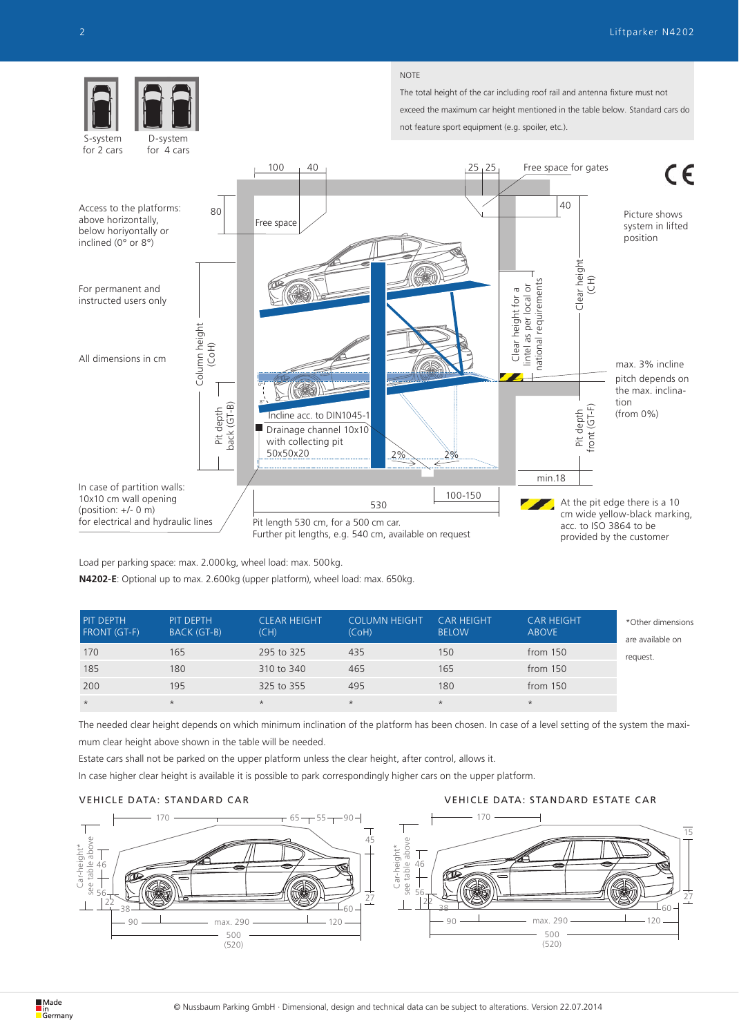

Load per parking space: max. 2.000kg, wheel load: max. 500kg.

**N4202-E**: Optional up to max. 2.600kg (upper platform), wheel load: max. 650kg.

| <b>PIT DEPTH</b><br><b>FRONT (GT-F)</b> | PIT DEPTH<br>BACK (GT-B) | <b>CLEAR HEIGHT</b><br>(CH) | <b>COLUMN HEIGHT</b><br>(CoH) | <b>CAR HEIGHT</b><br><b>BELOW</b> | <b>CAR HEIGHT</b><br><b>ABOVE</b> | *Other dimensions<br>are available on |
|-----------------------------------------|--------------------------|-----------------------------|-------------------------------|-----------------------------------|-----------------------------------|---------------------------------------|
| 170                                     | 165                      | 295 to 325                  | 435                           | 150                               | from 150                          | request.                              |
| 185                                     | 180                      | 310 to 340                  | 465                           | 165                               | from $150$                        |                                       |
| 200                                     | 195                      | 325 to 355                  | 495                           | 180                               | from $150$                        |                                       |
| $\star$                                 | $\star$                  | $\star$                     | $\star$                       | $\star$                           | $\star$                           |                                       |

The needed clear height depends on which minimum inclination of the platform has been chosen. In case of a level setting of the system the maximum clear height above shown in the table will be needed.

Estate cars shall not be parked on the upper platform unless the clear height, after control, allows it.

In case higher clear height is available it is possible to park correspondingly higher cars on the upper platform.

## VEHICLE DATA: STANDARD CAR VEHICLE DATA: STANDARD ESTATE CAR

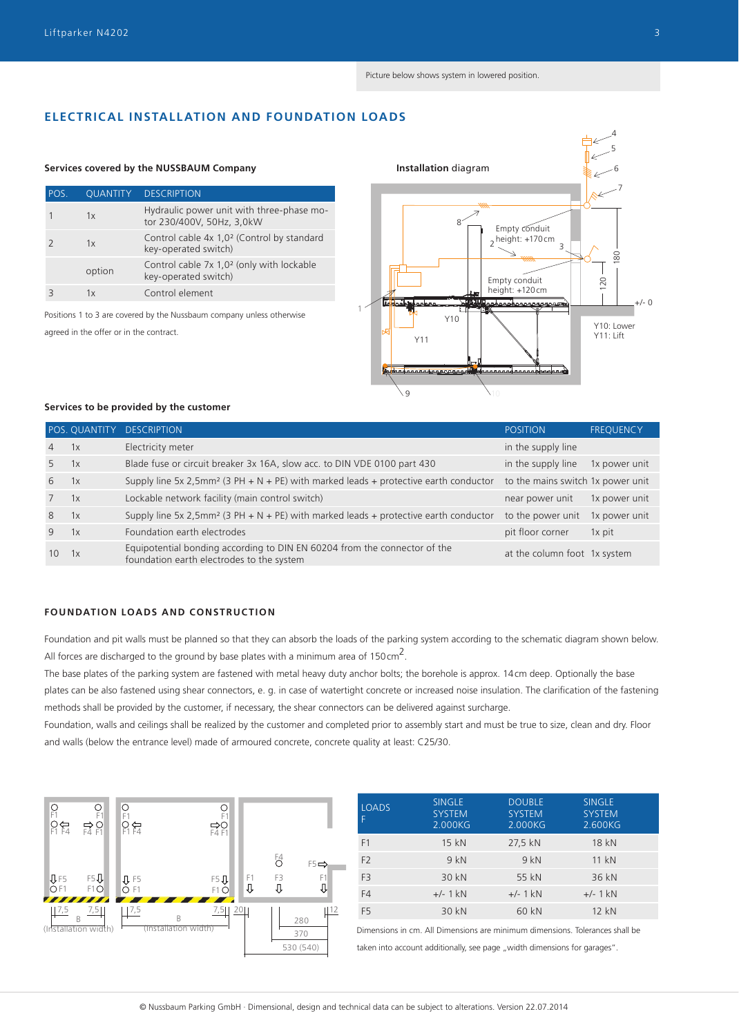## **ELECTRICAL INSTALLATION AND FOUNDATION LOADS**

### **Services covered by the NUSSBAUM Company Installation** diagram

| POS. | <b>QUANTITY</b> | <b>DESCRIPTION</b>                                                             |
|------|-----------------|--------------------------------------------------------------------------------|
|      | 1x              | Hydraulic power unit with three-phase mo-<br>tor 230/400V, 50Hz, 3,0kW         |
|      | 1x              | Control cable 4x 1,0 <sup>2</sup> (Control by standard<br>key-operated switch) |
|      | option          | Control cable 7x 1,0 <sup>2</sup> (only with lockable<br>key-operated switch)  |
|      | 1x              | Control element                                                                |

Positions 1 to 3 are covered by the Nussbaum company unless otherwise



#### **Services to be provided by the customer**

|                |    | POS. QUANTITY DESCRIPTION                                                                                              | <b>POSITION</b>                   | <b>FREQUENCY</b> |
|----------------|----|------------------------------------------------------------------------------------------------------------------------|-----------------------------------|------------------|
| $\overline{4}$ | 1x | Electricity meter                                                                                                      | in the supply line                |                  |
| 5              | 1x | Blade fuse or circuit breaker 3x 16A, slow acc. to DIN VDE 0100 part 430                                               | in the supply line                | 1x power unit    |
| 6              | 1x | Supply line 5x 2,5mm <sup>2</sup> (3 PH + N + PE) with marked leads + protective earth conductor                       | to the mains switch 1x power unit |                  |
|                | 1x | Lockable network facility (main control switch)                                                                        | near power unit                   | 1x power unit    |
| 8              | 1x | Supply line 5x 2,5mm <sup>2</sup> (3 PH + N + PE) with marked leads + protective earth conductor                       | to the power unit                 | 1x power unit    |
| 9              | 1x | Foundation earth electrodes                                                                                            | pit floor corner                  | 1x pit           |
| 10             | 1x | Equipotential bonding according to DIN EN 60204 from the connector of the<br>foundation earth electrodes to the system | at the column foot 1x system      |                  |

## **FOUNDATION LOADS AND CONSTRUCTION**

Foundation and pit walls must be planned so that they can absorb the loads of the parking system according to the schematic diagram shown below. All forces are discharged to the ground by base plates with a minimum area of 150 $\text{cm}^2$ .

The base plates of the parking system are fastened with metal heavy duty anchor bolts; the borehole is approx. 14cm deep. Optionally the base plates can be also fastened using shear connectors, e. g. in case of watertight concrete or increased noise insulation. The clarification of the fastening methods shall be provided by the customer, if necessary, the shear connectors can be delivered against surcharge.

Foundation, walls and ceilings shall be realized by the customer and completed prior to assembly start and must be true to size, clean and dry. Floor and walls (below the entrance level) made of armoured concrete, concrete quality at least: C25/30.



| <b>LOADS</b>   | <b>SINGLE</b><br><b>SYSTEM</b><br>2.000KG | <b>DOUBLE</b><br><b>SYSTEM</b><br>2.000KG | <b>SINGLE</b><br><b>SYSTEM</b><br>2.600KG |
|----------------|-------------------------------------------|-------------------------------------------|-------------------------------------------|
| F1             | 15 kN                                     | 27,5 kN                                   | 18 kN                                     |
| F <sub>2</sub> | 9kN                                       | 9kN                                       | 11 kN                                     |
| F <sub>3</sub> | 30 kN                                     | 55 kN                                     | 36 kN                                     |
| F4             | $+/- 1$ kN                                | $+/- 1$ kN                                | $+/- 1$ kN                                |
| F <sub>5</sub> | 30 kN                                     | 60 kN                                     | 12 kN                                     |

Dimensions in cm. All Dimensions are minimum dimensions. Tolerances shall be taken into account additionally, see page "width dimensions for garages".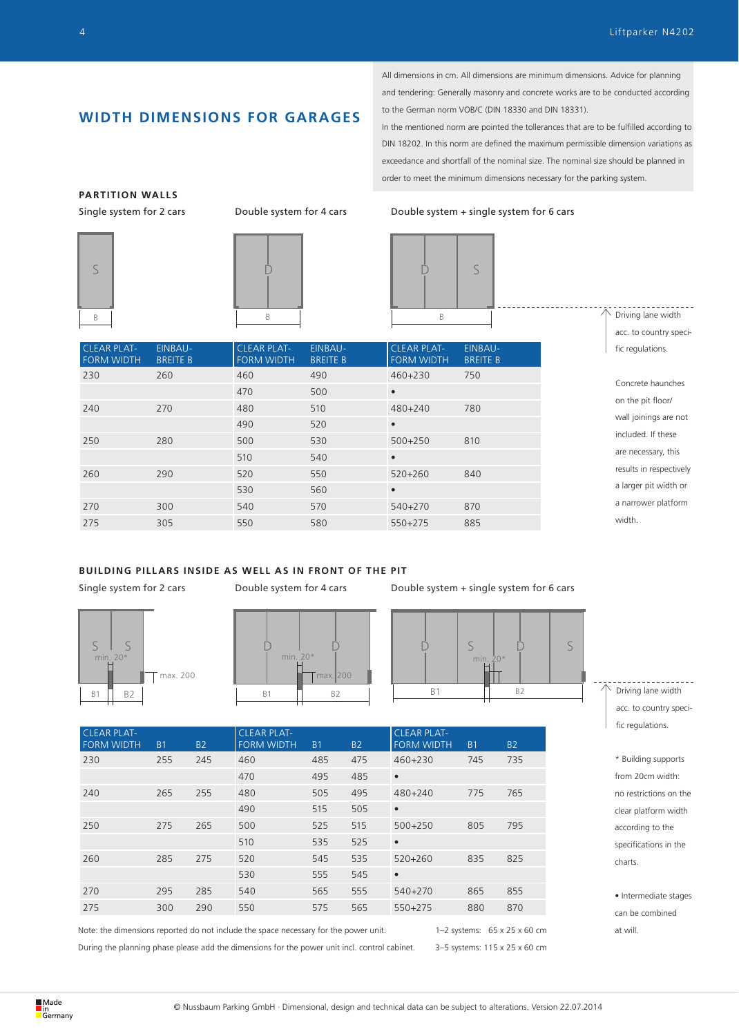## **WIDTH DIMENSIONS FOR GARAGES**

All dimensions in cm. All dimensions are minimum dimensions. Advice for planning and tendering: Generally masonry and concrete works are to be conducted according to the German norm VOB/C (DIN 18330 and DIN 18331).

In the mentioned norm are pointed the tollerances that are to be fulfilled according to DIN 18202. In this norm are defined the maximum permissible dimension variations as exceedance and shortfall of the nominal size. The nominal size should be planned in order to meet the minimum dimensions necessary for the parking system.

Single system for 2 cars Double system for 4 cars Double system + single system for 6 cars



## **BUILDING PILLARS INSIDE AS WELL AS IN FRONT OF THE PIT**



Single system for 2 cars Double system for 4 cars Double system + single system for 6 cars







| <b>CLEAR PLAT-</b><br><b>FORM WIDTH</b> | <b>B1</b> | <b>B2</b> | <b>CLEAR PLAT-</b><br><b>FORM WIDTH</b> | <b>B1</b> | <b>B2</b> | <b>CLEAR PLAT-</b><br><b>FORM WIDTH</b> | <b>B1</b> | <b>B2</b> |
|-----------------------------------------|-----------|-----------|-----------------------------------------|-----------|-----------|-----------------------------------------|-----------|-----------|
| 230                                     | 255       | 245       | 460                                     | 485       | 475       | 460+230                                 | 745       | 735       |
|                                         |           |           | 470                                     | 495       | 485       | $\bullet$                               |           |           |
| 240                                     | 265       | 255       | 480                                     | 505       | 495       | 480+240                                 | 775       | 765       |
|                                         |           |           | 490                                     | 515       | 505       | $\bullet$                               |           |           |
| 250                                     | 275       | 265       | 500                                     | 525       | 515       | $500+250$                               | 805       | 795       |
|                                         |           |           | 510                                     | 535       | 525       | $\bullet$                               |           |           |
| 260                                     | 285       | 275       | 520                                     | 545       | 535       | 520+260                                 | 835       | 825       |
|                                         |           |           | 530                                     | 555       | 545       | $\bullet$                               |           |           |
| 270                                     | 295       | 285       | 540                                     | 565       | 555       | 540+270                                 | 865       | 855       |
| 275                                     | 300       | 290       | 550                                     | 575       | 565       | $550 + 275$                             | 880       | 870       |

Note: the dimensions reported do not include the space necessary for the power unit.

During the planning phase please add the dimensions for the power unit incl. control cabinet.

1–2 systems: 65 x 25 x 60 cm 3–5 systems: 115 x 25 x 60 cm Driving lane width acc. to country specific regulations.

\* Building supports from 20cm width: no restrictions on the clear platform width according to the specifications in the charts.

• Intermediate stages can be combined at will.

**PARTITION WALLS**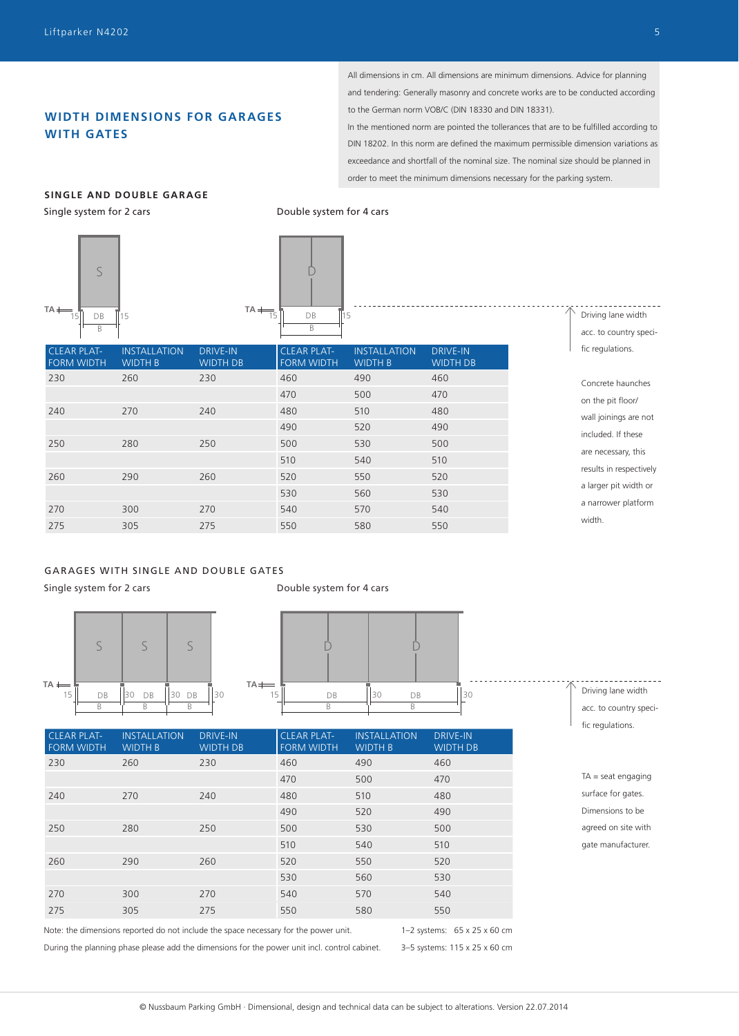## **WIDTH DIMENSIONS FOR GAR AGES WITH GATES**

All dimensions in cm. All dimensions are minimum dimensions. Advice for planning and tendering: Generally masonry and concrete works are to be conducted according to the German norm VOB/C (DIN 18330 and DIN 18331).

In the mentioned norm are pointed the tollerances that are to be fulfilled according to DIN 18202. In this norm are defined the maximum permissible dimension variations as exceedance and shortfall of the nominal size. The nominal size should be planned in order to meet the minimum dimensions necessary for the parking system.

DRIVE-IN

## **SINGLE AND DOUBLE GARAGE**

Single system for 2 cars





Double system for 4 cars

**TA**

DRIVE-IN

|  | Driving lane width     |
|--|------------------------|
|  | acc. to country speci- |
|  | fic regulations.       |
|  |                        |

FORM WIDTH WIDTH B WIDTH DB FORM WIDTH WIDTH B WIDTH DB 230 260 230 460 490 460 470 500 470 240 270 240 480 510 480 490 520 490 250 280 250 500 530 500 510 540 510 260 290 260 520 550 520 530 560 530 270 300 270 540 570 540 275 305 275 550 580 550 Concrete haunches on the pit floor/ wall joinings are not included. If these are necessary, this results in respectively a larger pit width or a narrower platform width.

## GARAGES WITH SINGLE AND DOUBLE GATES

Single system for 2 cars

Double system for 4 cars



| $TA \longleftarrow$ |    |          |    |
|---------------------|----|----------|----|
| 15                  | DB | DB<br>30 | 30 |
|                     |    | R        |    |

| <b>CLEAR PLAT-</b><br><b>FORM WIDTH</b> | <b>INSTALLATION</b><br><b>WIDTH B</b> | <b>DRIVE-IN</b><br><b>WIDTH DB</b> | <b>CLEAR PLAT-</b><br><b>FORM WIDTH</b> | <b>INSTALLATION</b><br><b>WIDTH B</b> | <b>DRIVE-IN</b><br><b>WIDTH DB</b> |
|-----------------------------------------|---------------------------------------|------------------------------------|-----------------------------------------|---------------------------------------|------------------------------------|
| 230                                     | 260                                   | 230                                | 460                                     | 490                                   | 460                                |
|                                         |                                       |                                    | 470                                     | 500                                   | 470                                |
| 240                                     | 270                                   | 240                                | 480                                     | 510                                   | 480                                |
|                                         |                                       |                                    | 490                                     | 520                                   | 490                                |
| 250                                     | 280                                   | 250                                | 500                                     | 530                                   | 500                                |
|                                         |                                       |                                    | 510                                     | 540                                   | 510                                |
| 260                                     | 290                                   | 260                                | 520                                     | 550                                   | 520                                |
|                                         |                                       |                                    | 530                                     | 560                                   | 530                                |
| 270                                     | 300                                   | 270                                | 540                                     | 570                                   | 540                                |
| 275                                     | 305                                   | 275                                | 550                                     | 580                                   | 550                                |
|                                         |                                       |                                    |                                         |                                       |                                    |

Note: the dimensions reported do not include the space necessary for the power unit.

During the planning phase please add the dimensions for the power unit incl. control cabinet.

1–2 systems: 65 x 25 x 60 cm 3–5 systems: 115 x 25 x 60 cm Driving lane width acc. to country specific regulations.

TA = seat engaging surface for gates. Dimensions to be agreed on site with gate manufacturer.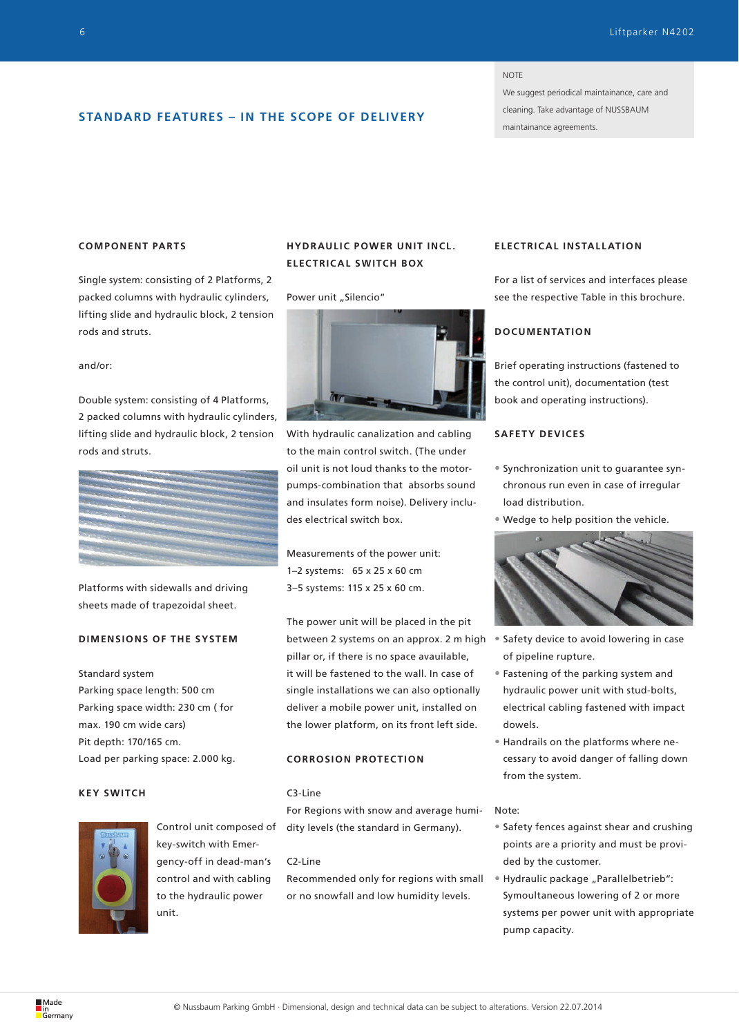#### **NOTE**

We suggest periodical maintainance, care and cleaning. Take advantage of NUSSBAUM maintainance agreements.

## **STANDARD FEATURES – IN THE SCOPE OF DELIVERY**

## **COMPONENT PARTS**

Single system: consisting of 2 Platforms, 2 packed columns with hydraulic cylinders, lifting slide and hydraulic block, 2 tension rods and struts.

#### and/or:

Double system: consisting of 4 Platforms, 2 packed columns with hydraulic cylinders, lifting slide and hydraulic block, 2 tension rods and struts.



Platforms with sidewalls and driving sheets made of trapezoidal sheet.

## **DIMENSIONS OF THE SYSTEM**

## Standard system

Parking space length: 500 cm Parking space width: 230 cm ( for max. 190 cm wide cars) Pit depth: 170/165 cm. Load per parking space: 2.000 kg.

## **KEY SWITCH**



Control unit composed of key-switch with Emergency-off in dead-man's control and with cabling to the hydraulic power unit.

## **HYDRAULIC POWER UNIT INCL. ELECTRICAL SWITCH BOX**

#### Power unit "Silencio"



With hydraulic canalization and cabling to the main control switch. (The under oil unit is not loud thanks to the motorpumps-combination that absorbs sound and insulates form noise). Delivery includes electrical switch box.

Measurements of the power unit: 1–2 systems: 65 x 25 x 60 cm 3–5 systems: 115 x 25 x 60 cm.

The power unit will be placed in the pit between 2 systems on an approx. 2 m high pillar or, if there is no space avauilable, it will be fastened to the wall. In case of single installations we can also optionally deliver a mobile power unit, installed on the lower platform, on its front left side.

## **CORROSION PROTECTION**

## C3-Line

For Regions with snow and average humidity levels (the standard in Germany).

## C2-Line

Recommended only for regions with small or no snowfall and low humidity levels.

## **ELEC TRIC AL INSTALL ATION**

For a list of services and interfaces please see the respective Table in this brochure.

## **DOCUMENTATION**

Brief operating instructions (fastened to the control unit), documentation (test book and operating instructions).

## **SAFETY DEVICES**

- Synchronization unit to guarantee synchronous run even in case of irregular load distribution.
- Wedge to help position the vehicle.



- Safety device to avoid lowering in case of pipeline rupture.
- Fastening of the parking system and hydraulic power unit with stud-bolts, electrical cabling fastened with impact dowels.
- Handrails on the platforms where necessary to avoid danger of falling down from the system.

### Note:

- Safety fences against shear and crushing points are a priority and must be provided by the customer.
- Hydraulic package "Parallelbetrieb": Symoultaneous lowering of 2 or more systems per power unit with appropriate pump capacity.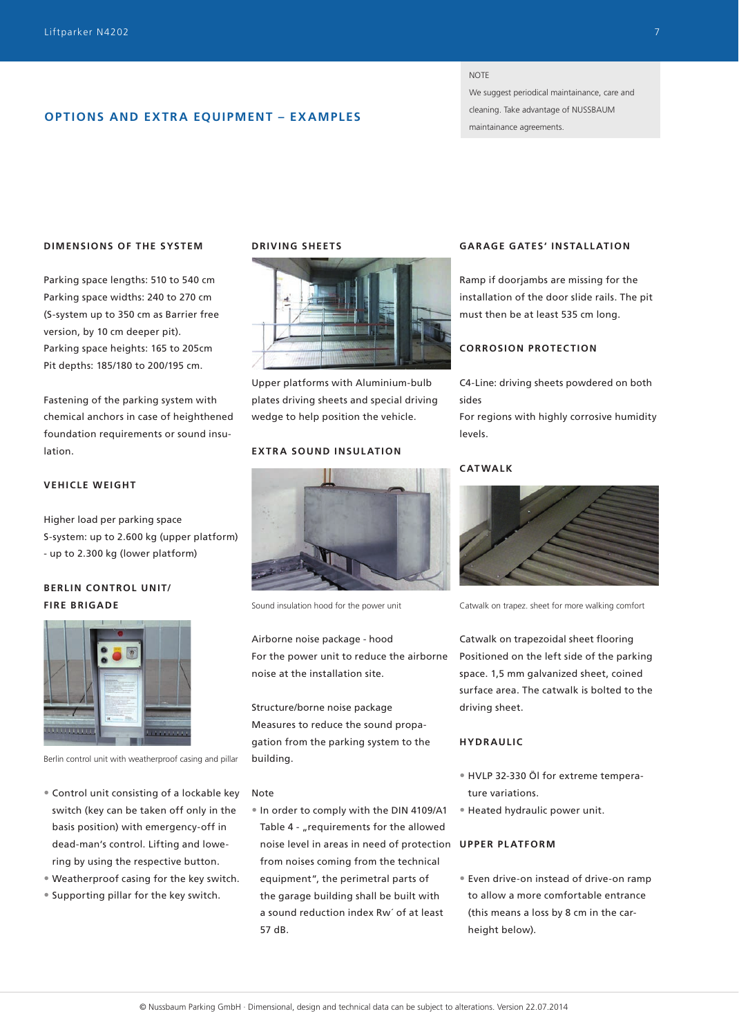## **OPTIONS AND EXTRA EQUIPMENT – EXAMPLES**

**NOTE** 

We suggest periodical maintainance, care and cleaning. Take advantage of NUSSBAUM maintainance agreements.

## **DIMENSIONS OF THE SYSTEM**

Parking space lengths: 510 to 540 cm Parking space widths: 240 to 270 cm (S-system up to 350 cm as Barrier free version, by 10 cm deeper pit). Parking space heights: 165 to 205cm Pit depths: 185/180 to 200/195 cm.

Fastening of the parking system with chemical anchors in case of heighthened foundation requirements or sound insulation.

## **VEHICLE WEIGHT**

Higher load per parking space S-system: up to 2.600 kg (upper platform) - up to 2.300 kg (lower platform)

## **BERLIN CONTROL UNIT/ FIRE BRIGADE**



Berlin control unit with weatherproof casing and pillar

- Control unit consisting of a lockable key switch (key can be taken off only in the basis position) with emergency-off in dead-man's control. Lifting and lowering by using the respective button.
- Weatherproof casing for the key switch.
- Supporting pillar for the key switch.

## **DRIVING SHEETS**



Upper platforms with Aluminium-bulb plates driving sheets and special driving wedge to help position the vehicle.

## **EXTRA SOUND INSULATION**



Sound insulation hood for the power unit

Airborne noise package - hood For the power unit to reduce the airborne noise at the installation site.

Structure/borne noise package Measures to reduce the sound propagation from the parking system to the building.

### Note

• In order to comply with the DIN 4109/A1 Table 4 - "requirements for the allowed noise level in areas in need of protection **UPPER PLATFORM** from noises coming from the technical equipment", the perimetral parts of the garage building shall be built with a sound reduction index Rw´ of at least 57 dB.

## **GAR AGE GATES' INSTALL ATION**

Ramp if doorjambs are missing for the installation of the door slide rails. The pit must then be at least 535 cm long.

## **CORROSION PROTECTION**

C4-Line: driving sheets powdered on both sides

For regions with highly corrosive humidity levels.

## **CATWALK**



Catwalk on trapez. sheet for more walking comfort

Catwalk on trapezoidal sheet flooring Positioned on the left side of the parking space. 1,5 mm galvanized sheet, coined surface area. The catwalk is bolted to the driving sheet.

### **HYDRAULIC**

- HVLP 32-330 Öl for extreme temperature variations.
- Heated hydraulic power unit.

• Even drive-on instead of drive-on ramp to allow a more comfortable entrance (this means a loss by 8 cm in the carheight below).